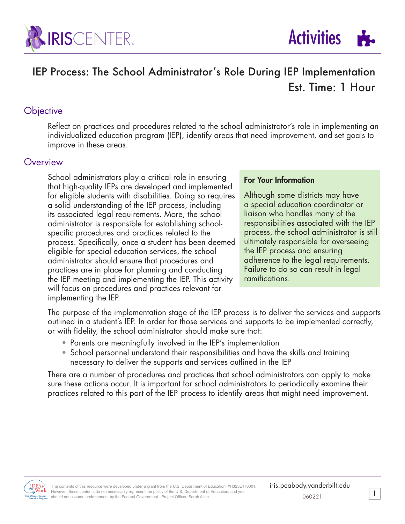



# IEP Process: The School Administrator's Role During IEP Implementation Est. Time: 1 Hour

#### **Objective**

Reflect on practices and procedures related to the school administrator's role in implementing an individualized education program (IEP), identify areas that need improvement, and set goals to improve in these areas.

#### **Overview**

School administrators play a critical role in ensuring that high-quality IEPs are developed and implemented for eligible students with disabilities. Doing so requires a solid understanding of the IEP process, including its associated legal requirements. More, the school administrator is responsible for establishing schoolspecific procedures and practices related to the process. Specifically, once a student has been deemed eligible for special education services, the school administrator should ensure that procedures and practices are in place for planning and conducting the IEP meeting and implementing the IEP. This activity will focus on procedures and practices relevant for implementing the IEP.

#### For Your Information

Although some districts may have a special education coordinator or liaison who handles many of the responsibilities associated with the IEP process, the school administrator is still ultimately responsible for overseeing the IEP process and ensuring adherence to the legal requirements. Failure to do so can result in legal ramifications.

The purpose of the implementation stage of the IEP process is to deliver the services and supports outlined in a student's IEP. In order for those services and supports to be implemented correctly, or with fidelity, the school administrator should make sure that:

- Parents are meaningfully involved in the IEP's implementation
- School personnel understand their responsibilities and have the skills and training necessary to deliver the supports and services outlined in the IEP

There are a number of procedures and practices that school administrators can apply to make sure these actions occur. It is important for school administrators to periodically examine their practices related to this part of the IEP process to identify areas that might need improvement.



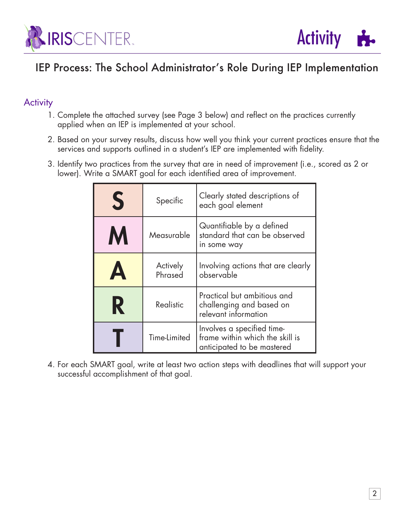



## IEP Process: The School Administrator's Role During IEP Implementation

### **Activity**

- 1. Complete the attached survey (see Page 3 below) and reflect on the practices currently applied when an IEP is implemented at your school.
- 2. Based on your survey results, discuss how well you think your current practices ensure that the services and supports outlined in a student's IEP are implemented with fidelity.
- 3. Identify two practices from the survey that are in need of improvement (i.e., scored as 2 or lower). Write a SMART goal for each identified area of improvement.

| S                     | Specific            | Clearly stated descriptions of<br>each goal element                                         |  |  |  |  |
|-----------------------|---------------------|---------------------------------------------------------------------------------------------|--|--|--|--|
| M                     | Measurable          | Quantifiable by a defined<br>standard that can be observed<br>in some way                   |  |  |  |  |
| $\boldsymbol{\Delta}$ | Actively<br>Phrased | Involving actions that are clearly<br>observable                                            |  |  |  |  |
| R                     | Realistic           | Practical but ambitious and<br>challenging and based on<br>relevant information             |  |  |  |  |
|                       | Time-Limited        | Involves a specified time-<br>frame within which the skill is<br>anticipated to be mastered |  |  |  |  |

4. For each SMART goal, write at least two action steps with deadlines that will support your successful accomplishment of that goal.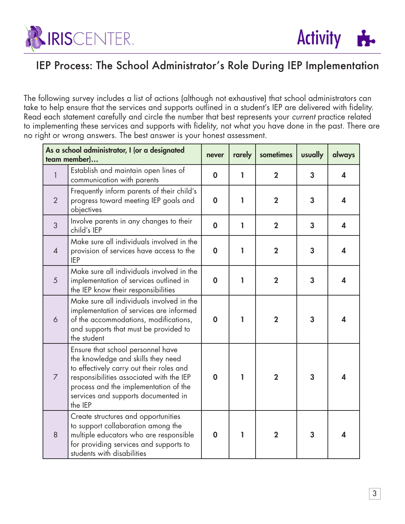



## IEP Process: The School Administrator's Role During IEP Implementation

The following survey includes a list of actions (although not exhaustive) that school administrators can take to help ensure that the services and supports outlined in a student's IEP are delivered with fidelity. Read each statement carefully and circle the number that best represents your *current* practice related to implementing these services and supports with fidelity, not what you have done in the past. There are no right or wrong answers. The best answer is your honest assessment.

| As a school administrator, I (or a designated<br>team member) |                                                                                                                                                                                                                                                            | never       | rarely | sometimes      | usually        | always                  |
|---------------------------------------------------------------|------------------------------------------------------------------------------------------------------------------------------------------------------------------------------------------------------------------------------------------------------------|-------------|--------|----------------|----------------|-------------------------|
|                                                               | Establish and maintain open lines of<br>communication with parents                                                                                                                                                                                         | $\mathbf 0$ | L      | $\overline{2}$ | 3              | 4                       |
| 2                                                             | Frequently inform parents of their child's<br>progress toward meeting IEP goals and<br>objectives                                                                                                                                                          | $\mathbf 0$ | 1      | $\overline{2}$ | $\overline{3}$ | 4                       |
| 3                                                             | Involve parents in any changes to their<br>child's IEP                                                                                                                                                                                                     | $\mathbf 0$ | ı      | $\overline{2}$ | 3              | $\overline{\mathbf{4}}$ |
| $\overline{4}$                                                | Make sure all individuals involved in the<br>provision of services have access to the<br><b>IEP</b>                                                                                                                                                        | $\mathbf 0$ | 1      | $\overline{2}$ | 3              | 4                       |
| 5                                                             | Make sure all individuals involved in the<br>implementation of services outlined in<br>the IEP know their responsibilities                                                                                                                                 | $\mathbf 0$ | 1      | $\overline{2}$ | 3              | $\boldsymbol{\Lambda}$  |
| 6                                                             | Make sure all individuals involved in the<br>implementation of services are informed<br>of the accommodations, modifications,<br>and supports that must be provided to<br>the student                                                                      | $\mathbf 0$ | 1      | $\mathbf{2}$   | 3              | 4                       |
| $\overline{7}$                                                | Ensure that school personnel have<br>the knowledge and skills they need<br>to effectively carry out their roles and<br>responsibilities associated with the IEP<br>process and the implementation of the<br>services and supports documented in<br>the IEP | $\mathbf 0$ | ı      | $\overline{2}$ | 3              | 4                       |
| 8                                                             | Create structures and opportunities<br>to support collaboration among the<br>multiple educators who are responsible<br>for providing services and supports to<br>students with disabilities                                                                | $\mathbf 0$ | ı      | $\mathbf{2}$   | 3              | 4                       |